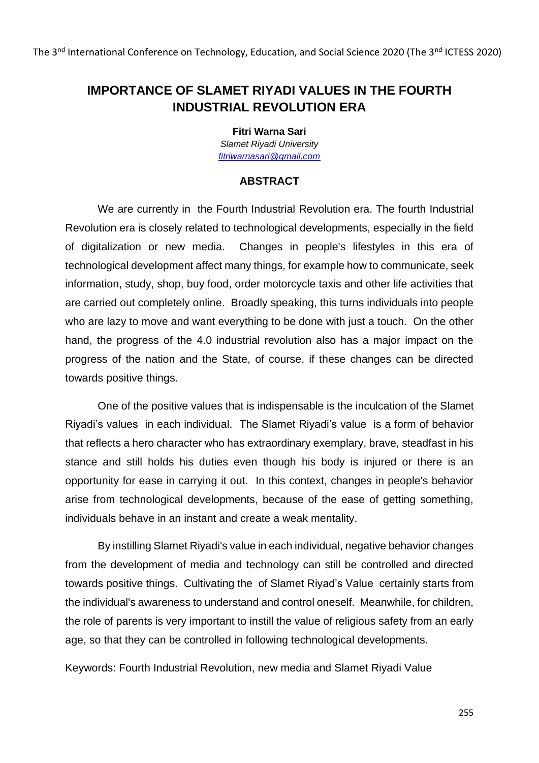## **IMPORTANCE OF SLAMET RIYADI VALUES IN THE FOURTH INDUSTRIAL REVOLUTION ERA**

**Fitri Warna Sari**

*Slamet Riyadi University [fitriwarnasari@gmail.com](mailto:fitriwarnasari@gmail.com)*

## **ABSTRACT**

We are currently in the Fourth Industrial Revolution era. The fourth Industrial Revolution era is closely related to technological developments, especially in the field of digitalization or new media. Changes in people's lifestyles in this era of technological development affect many things, for example how to communicate, seek information, study, shop, buy food, order motorcycle taxis and other life activities that are carried out completely online. Broadly speaking, this turns individuals into people who are lazy to move and want everything to be done with just a touch. On the other hand, the progress of the 4.0 industrial revolution also has a major impact on the progress of the nation and the State, of course, if these changes can be directed towards positive things.

One of the positive values that is indispensable is the inculcation of the Slamet Riyadi's values in each individual. The Slamet Riyadi's value is a form of behavior that reflects a hero character who has extraordinary exemplary, brave, steadfast in his stance and still holds his duties even though his body is injured or there is an opportunity for ease in carrying it out. In this context, changes in people's behavior arise from technological developments, because of the ease of getting something, individuals behave in an instant and create a weak mentality.

By instilling Slamet Riyadi's value in each individual, negative behavior changes from the development of media and technology can still be controlled and directed towards positive things. Cultivating the of Slamet Riyad's Value certainly starts from the individual's awareness to understand and control oneself. Meanwhile, for children, the role of parents is very important to instill the value of religious safety from an early age, so that they can be controlled in following technological developments.

Keywords: Fourth Industrial Revolution, new media and Slamet Riyadi Value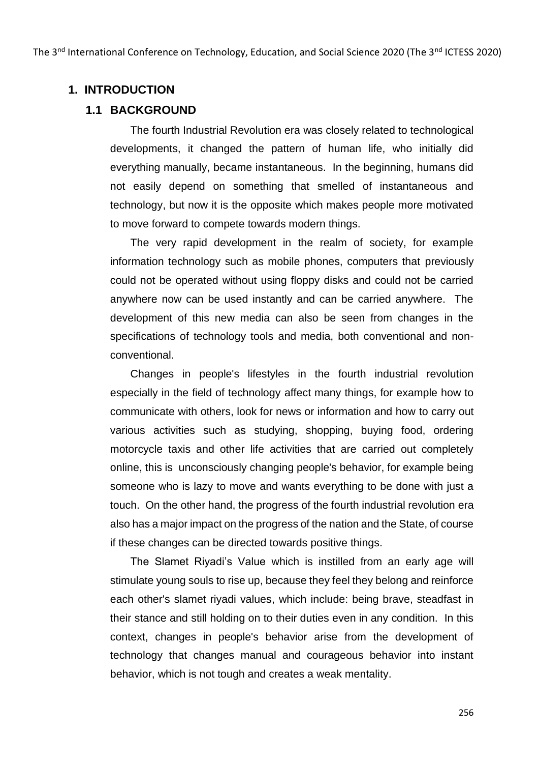The 3<sup>nd</sup> International Conference on Technology, Education, and Social Science 2020 (The 3<sup>nd</sup> ICTESS 2020)

#### **1. INTRODUCTION**

#### **1.1 BACKGROUND**

The fourth Industrial Revolution era was closely related to technological developments, it changed the pattern of human life, who initially did everything manually, became instantaneous. In the beginning, humans did not easily depend on something that smelled of instantaneous and technology, but now it is the opposite which makes people more motivated to move forward to compete towards modern things.

The very rapid development in the realm of society, for example information technology such as mobile phones, computers that previously could not be operated without using floppy disks and could not be carried anywhere now can be used instantly and can be carried anywhere. The development of this new media can also be seen from changes in the specifications of technology tools and media, both conventional and nonconventional.

Changes in people's lifestyles in the fourth industrial revolution especially in the field of technology affect many things, for example how to communicate with others, look for news or information and how to carry out various activities such as studying, shopping, buying food, ordering motorcycle taxis and other life activities that are carried out completely online, this is unconsciously changing people's behavior, for example being someone who is lazy to move and wants everything to be done with just a touch. On the other hand, the progress of the fourth industrial revolution era also has a major impact on the progress of the nation and the State, of course if these changes can be directed towards positive things.

The Slamet Riyadi's Value which is instilled from an early age will stimulate young souls to rise up, because they feel they belong and reinforce each other's slamet riyadi values, which include: being brave, steadfast in their stance and still holding on to their duties even in any condition. In this context, changes in people's behavior arise from the development of technology that changes manual and courageous behavior into instant behavior, which is not tough and creates a weak mentality.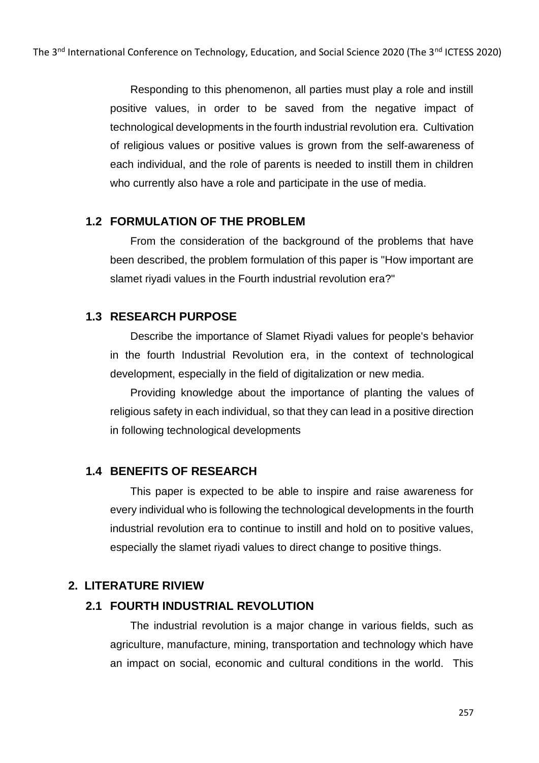Responding to this phenomenon, all parties must play a role and instill positive values, in order to be saved from the negative impact of technological developments in the fourth industrial revolution era. Cultivation of religious values or positive values is grown from the self-awareness of each individual, and the role of parents is needed to instill them in children who currently also have a role and participate in the use of media.

#### **1.2 FORMULATION OF THE PROBLEM**

From the consideration of the background of the problems that have been described, the problem formulation of this paper is "How important are slamet riyadi values in the Fourth industrial revolution era?"

### **1.3 RESEARCH PURPOSE**

Describe the importance of Slamet Riyadi values for people's behavior in the fourth Industrial Revolution era, in the context of technological development, especially in the field of digitalization or new media.

Providing knowledge about the importance of planting the values of religious safety in each individual, so that they can lead in a positive direction in following technological developments

#### **1.4 BENEFITS OF RESEARCH**

This paper is expected to be able to inspire and raise awareness for every individual who is following the technological developments in the fourth industrial revolution era to continue to instill and hold on to positive values, especially the slamet riyadi values to direct change to positive things.

#### **2. LITERATURE RIVIEW**

#### **2.1 FOURTH INDUSTRIAL REVOLUTION**

The industrial revolution is a major change in various fields, such as agriculture, manufacture, mining, transportation and technology which have an impact on social, economic and cultural conditions in the world. This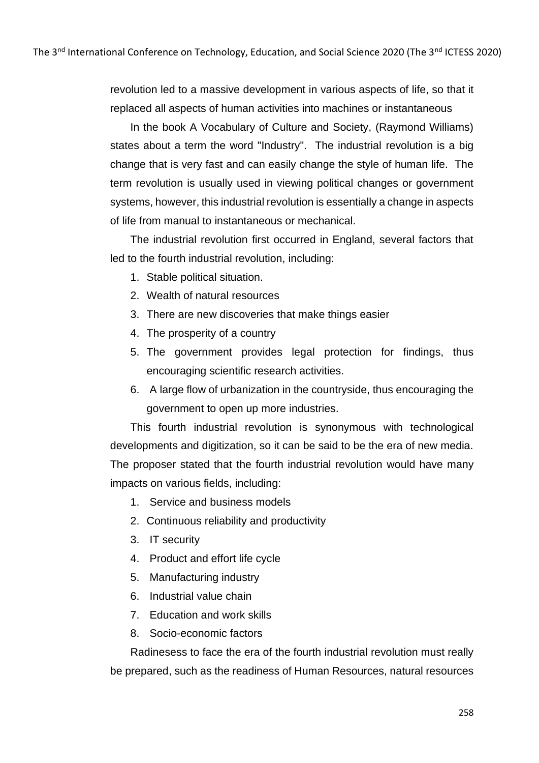revolution led to a massive development in various aspects of life, so that it replaced all aspects of human activities into machines or instantaneous

In the book A Vocabulary of Culture and Society, (Raymond Williams) states about a term the word "Industry". The industrial revolution is a big change that is very fast and can easily change the style of human life. The term revolution is usually used in viewing political changes or government systems, however, this industrial revolution is essentially a change in aspects of life from manual to instantaneous or mechanical.

The industrial revolution first occurred in England, several factors that led to the fourth industrial revolution, including:

- 1. Stable political situation.
- 2. Wealth of natural resources
- 3. There are new discoveries that make things easier
- 4. The prosperity of a country
- 5. The government provides legal protection for findings, thus encouraging scientific research activities.
- 6. A large flow of urbanization in the countryside, thus encouraging the government to open up more industries.

This fourth industrial revolution is synonymous with technological developments and digitization, so it can be said to be the era of new media. The proposer stated that the fourth industrial revolution would have many impacts on various fields, including:

- 1. Service and business models
- 2. Continuous reliability and productivity
- 3. IT security
- 4. Product and effort life cycle
- 5. Manufacturing industry
- 6. Industrial value chain
- 7. Education and work skills
- 8. Socio-economic factors

Radinesess to face the era of the fourth industrial revolution must really be prepared, such as the readiness of Human Resources, natural resources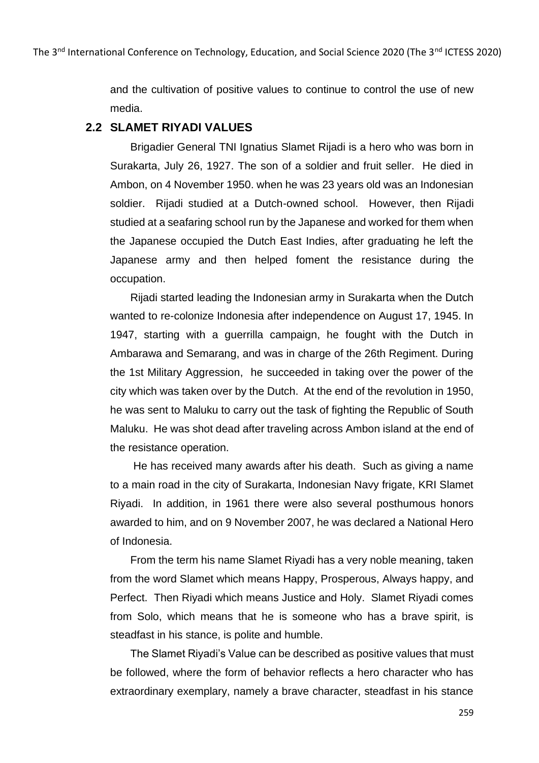and the cultivation of positive values to continue to control the use of new media.

### **2.2 SLAMET RIYADI VALUES**

Brigadier General TNI Ignatius Slamet Rijadi is a hero who was born in Surakarta, July 26, 1927. The son of a soldier and fruit seller. He died in Ambon, on 4 November 1950. when he was 23 years old was an Indonesian soldier. Rijadi studied at a Dutch-owned school. However, then Rijadi studied at a seafaring school run by the Japanese and worked for them when the Japanese occupied the Dutch East Indies, after graduating he left the Japanese army and then helped foment the resistance during the occupation.

Rijadi started leading the Indonesian army in Surakarta when the Dutch wanted to re-colonize Indonesia after independence on August 17, 1945. In 1947, starting with a guerrilla campaign, he fought with the Dutch in Ambarawa and Semarang, and was in charge of the 26th Regiment. During the 1st Military Aggression, he succeeded in taking over the power of the city which was taken over by the Dutch. At the end of the revolution in 1950, he was sent to Maluku to carry out the task of fighting the Republic of South Maluku. He was shot dead after traveling across Ambon island at the end of the resistance operation.

He has received many awards after his death. Such as giving a name to a main road in the city of Surakarta, Indonesian Navy frigate, KRI Slamet Riyadi. In addition, in 1961 there were also several posthumous honors awarded to him, and on 9 November 2007, he was declared a National Hero of Indonesia.

From the term his name Slamet Riyadi has a very noble meaning, taken from the word Slamet which means Happy, Prosperous, Always happy, and Perfect. Then Riyadi which means Justice and Holy. Slamet Riyadi comes from Solo, which means that he is someone who has a brave spirit, is steadfast in his stance, is polite and humble.

The Slamet Riyadi's Value can be described as positive values that must be followed, where the form of behavior reflects a hero character who has extraordinary exemplary, namely a brave character, steadfast in his stance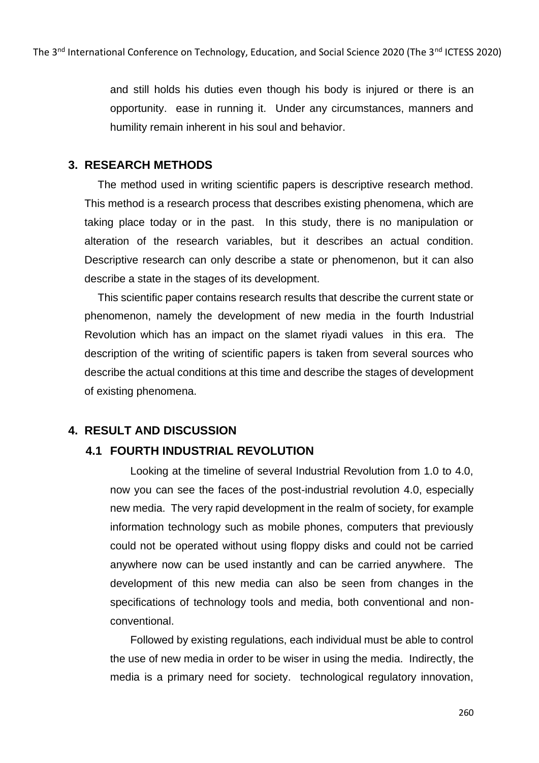and still holds his duties even though his body is injured or there is an opportunity. ease in running it. Under any circumstances, manners and humility remain inherent in his soul and behavior.

#### **3. RESEARCH METHODS**

The method used in writing scientific papers is descriptive research method. This method is a research process that describes existing phenomena, which are taking place today or in the past. In this study, there is no manipulation or alteration of the research variables, but it describes an actual condition. Descriptive research can only describe a state or phenomenon, but it can also describe a state in the stages of its development.

This scientific paper contains research results that describe the current state or phenomenon, namely the development of new media in the fourth Industrial Revolution which has an impact on the slamet riyadi values in this era. The description of the writing of scientific papers is taken from several sources who describe the actual conditions at this time and describe the stages of development of existing phenomena.

## **4. RESULT AND DISCUSSION**

## **4.1 FOURTH INDUSTRIAL REVOLUTION**

Looking at the timeline of several Industrial Revolution from 1.0 to 4.0, now you can see the faces of the post-industrial revolution 4.0, especially new media. The very rapid development in the realm of society, for example information technology such as mobile phones, computers that previously could not be operated without using floppy disks and could not be carried anywhere now can be used instantly and can be carried anywhere. The development of this new media can also be seen from changes in the specifications of technology tools and media, both conventional and nonconventional.

Followed by existing regulations, each individual must be able to control the use of new media in order to be wiser in using the media. Indirectly, the media is a primary need for society. technological regulatory innovation,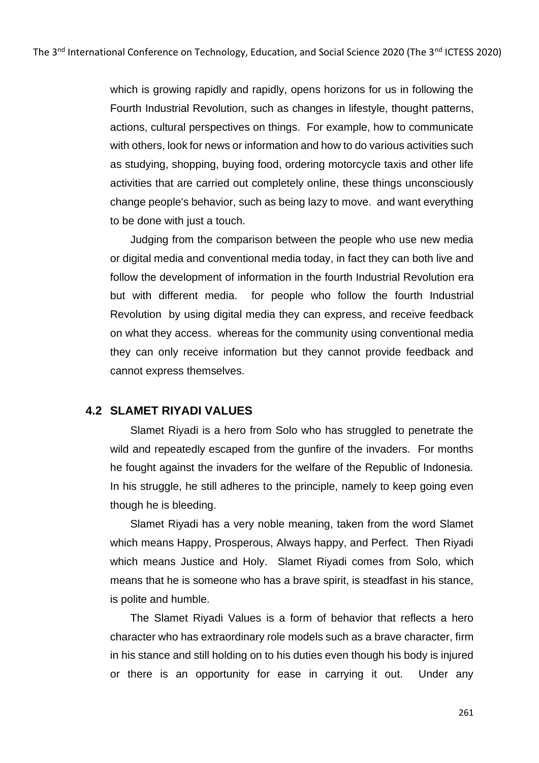which is growing rapidly and rapidly, opens horizons for us in following the Fourth Industrial Revolution, such as changes in lifestyle, thought patterns, actions, cultural perspectives on things. For example, how to communicate with others, look for news or information and how to do various activities such as studying, shopping, buying food, ordering motorcycle taxis and other life activities that are carried out completely online, these things unconsciously change people's behavior, such as being lazy to move. and want everything to be done with just a touch.

Judging from the comparison between the people who use new media or digital media and conventional media today, in fact they can both live and follow the development of information in the fourth Industrial Revolution era but with different media. for people who follow the fourth Industrial Revolution by using digital media they can express, and receive feedback on what they access. whereas for the community using conventional media they can only receive information but they cannot provide feedback and cannot express themselves.

#### **4.2 SLAMET RIYADI VALUES**

Slamet Riyadi is a hero from Solo who has struggled to penetrate the wild and repeatedly escaped from the gunfire of the invaders. For months he fought against the invaders for the welfare of the Republic of Indonesia. In his struggle, he still adheres to the principle, namely to keep going even though he is bleeding.

Slamet Riyadi has a very noble meaning, taken from the word Slamet which means Happy, Prosperous, Always happy, and Perfect. Then Riyadi which means Justice and Holy. Slamet Riyadi comes from Solo, which means that he is someone who has a brave spirit, is steadfast in his stance, is polite and humble.

The Slamet Riyadi Values is a form of behavior that reflects a hero character who has extraordinary role models such as a brave character, firm in his stance and still holding on to his duties even though his body is injured or there is an opportunity for ease in carrying it out. Under any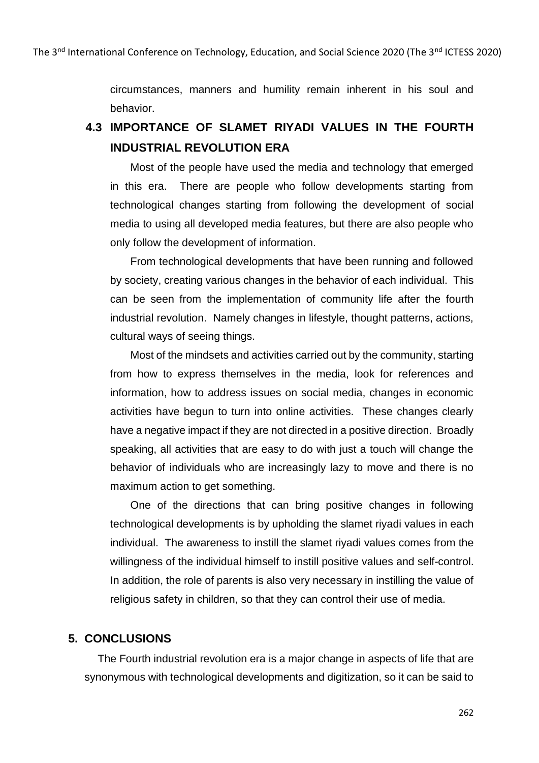circumstances, manners and humility remain inherent in his soul and behavior.

# **4.3 IMPORTANCE OF SLAMET RIYADI VALUES IN THE FOURTH INDUSTRIAL REVOLUTION ERA**

Most of the people have used the media and technology that emerged in this era. There are people who follow developments starting from technological changes starting from following the development of social media to using all developed media features, but there are also people who only follow the development of information.

From technological developments that have been running and followed by society, creating various changes in the behavior of each individual. This can be seen from the implementation of community life after the fourth industrial revolution. Namely changes in lifestyle, thought patterns, actions, cultural ways of seeing things.

Most of the mindsets and activities carried out by the community, starting from how to express themselves in the media, look for references and information, how to address issues on social media, changes in economic activities have begun to turn into online activities. These changes clearly have a negative impact if they are not directed in a positive direction. Broadly speaking, all activities that are easy to do with just a touch will change the behavior of individuals who are increasingly lazy to move and there is no maximum action to get something.

One of the directions that can bring positive changes in following technological developments is by upholding the slamet riyadi values in each individual. The awareness to instill the slamet riyadi values comes from the willingness of the individual himself to instill positive values and self-control. In addition, the role of parents is also very necessary in instilling the value of religious safety in children, so that they can control their use of media.

#### **5. CONCLUSIONS**

The Fourth industrial revolution era is a major change in aspects of life that are synonymous with technological developments and digitization, so it can be said to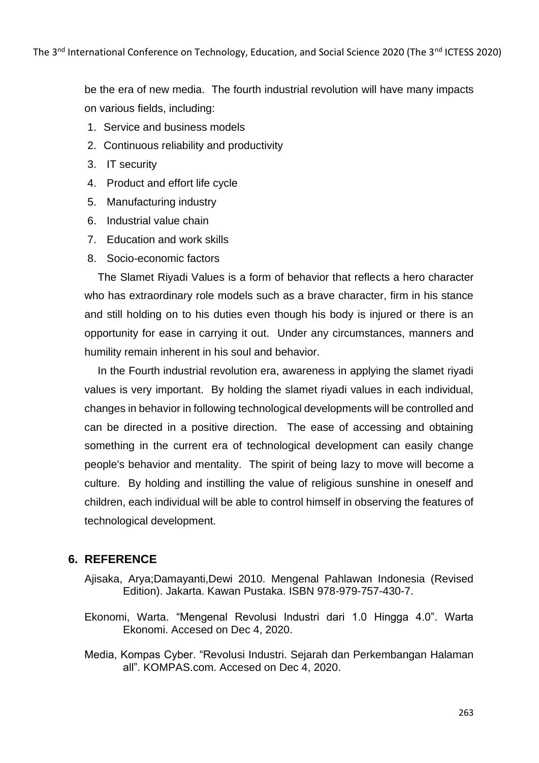be the era of new media. The fourth industrial revolution will have many impacts on various fields, including:

- 1. Service and business models
- 2. Continuous reliability and productivity
- 3. IT security
- 4. Product and effort life cycle
- 5. Manufacturing industry
- 6. Industrial value chain
- 7. Education and work skills
- 8. Socio-economic factors

The Slamet Riyadi Values is a form of behavior that reflects a hero character who has extraordinary role models such as a brave character, firm in his stance and still holding on to his duties even though his body is injured or there is an opportunity for ease in carrying it out. Under any circumstances, manners and humility remain inherent in his soul and behavior.

In the Fourth industrial revolution era, awareness in applying the slamet riyadi values is very important. By holding the slamet riyadi values in each individual, changes in behavior in following technological developments will be controlled and can be directed in a positive direction. The ease of accessing and obtaining something in the current era of technological development can easily change people's behavior and mentality. The spirit of being lazy to move will become a culture. By holding and instilling the value of religious sunshine in oneself and children, each individual will be able to control himself in observing the features of technological development.

#### **6. REFERENCE**

- Ajisaka, Arya;Damayanti,Dewi 2010. Mengenal Pahlawan Indonesia (Revised Edition). Jakarta. Kawan Pustaka. ISBN 978-979-757-430-7.
- Ekonomi, Warta. "Mengenal Revolusi Industri dari 1.0 Hingga 4.0". Warta Ekonomi. Accesed on Dec 4, 2020.
- Media, Kompas Cyber. "Revolusi Industri. Sejarah dan Perkembangan Halaman all". KOMPAS.com. Accesed on Dec 4, 2020.